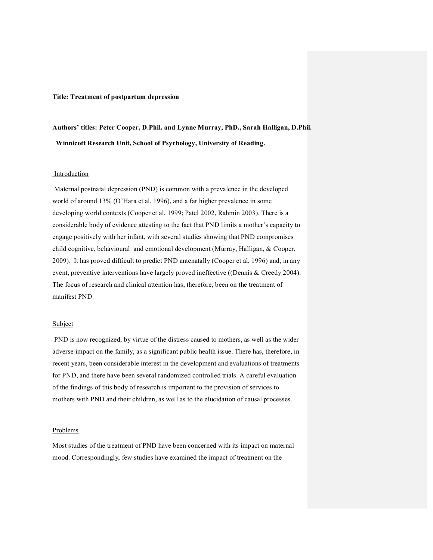#### **Title: Treatment of postpartum depression**

**Authors' titles: Peter Cooper, D.Phil. and Lynne Murray, PhD., Sarah Halligan, D.Phil. Winnicott Research Unit, School of Psychology, University of Reading.**

## Introduction

Maternal postnatal depression (PND) is common with a prevalence in the developed world of around 13% (O'Hara et al, 1996), and a far higher prevalence in some developing world contexts (Cooper et al, 1999; Patel 2002, Rahmin 2003). There is a considerable body of evidence attesting to the fact that PND limits a mother's capacity to engage positively with her infant, with several studies showing that PND compromises child cognitive, behavioural and emotional development (Murray, Halligan, & Cooper, 2009). It has proved difficult to predict PND antenatally (Cooper et al, 1996) and, in any event, preventive interventions have largely proved ineffective ((Dennis & Creedy 2004). The focus of research and clinical attention has, therefore, been on the treatment of manifest PND.

#### Subject

PND is now recognized, by virtue of the distress caused to mothers, as well as the wider adverse impact on the family, as a significant public health issue. There has, therefore, in recent years, been considerable interest in the development and evaluations of treatments for PND, and there have been several randomized controlled trials. A careful evaluation of the findings of this body of research is important to the provision of services to mothers with PND and their children, as well as to the elucidation of causal processes.

### Problems

Most studies of the treatment of PND have been concerned with its impact on maternal mood. Correspondingly, few studies have examined the impact of treatment on the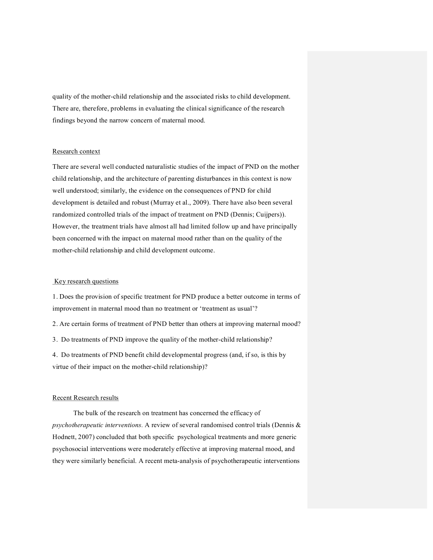quality of the mother-child relationship and the associated risks to child development. There are, therefore, problems in evaluating the clinical significance of the research findings beyond the narrow concern of maternal mood.

## Research context

There are several well conducted naturalistic studies of the impact of PND on the mother child relationship, and the architecture of parenting disturbances in this context is now well understood; similarly, the evidence on the consequences of PND for child development is detailed and robust (Murray et al., 2009). There have also been several randomized controlled trials of the impact of treatment on PND (Dennis; Cuijpers)). However, the treatment trials have almost all had limited follow up and have principally been concerned with the impact on maternal mood rather than on the quality of the mother-child relationship and child development outcome.

### Key research questions

1. Does the provision of specific treatment for PND produce a better outcome in terms of improvement in maternal mood than no treatment or 'treatment as usual'?

2. Are certain forms of treatment of PND better than others at improving maternal mood?

3. Do treatments of PND improve the quality of the mother-child relationship?

4. Do treatments of PND benefit child developmental progress (and, if so, is this by virtue of their impact on the mother-child relationship)?

## Recent Research results

The bulk of the research on treatment has concerned the efficacy of *psychotherapeutic interventions.* A review of several randomised control trials (Dennis & Hodnett, 2007) concluded that both specific psychological treatments and more generic psychosocial interventions were moderately effective at improving maternal mood, and they were similarly beneficial. A recent meta-analysis of psychotherapeutic interventions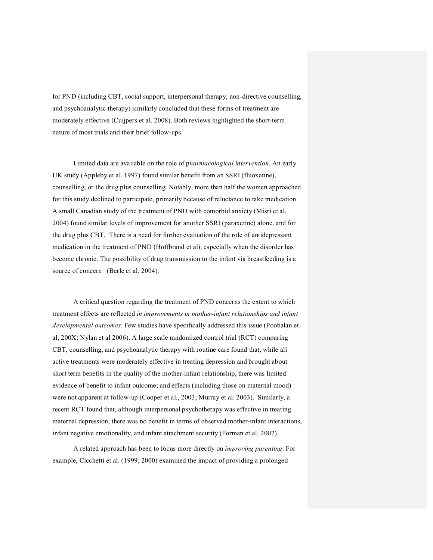for PND (including CBT, social support, interpersonal therapy, non-directive counselling, and psychoanalytic therapy) similarly concluded that these forms of treatment are moderately effective (Cuijpers et al. 2008). Both reviews highlighted the short-term nature of most trials and their brief follow-ups.

Limited data are available on the role of p*harmacological intervention.* An early UK study (Appleby et al. 1997) found similar benefit from an SSRI (fluoxetine), counselling, or the drug plus counselling. Notably, more than half the women approached for this study declined to participate, primarily because of reluctance to take medication. A small Canadian study of the treatment of PND with comorbid anxiety (Misri et al. 2004) found similar levels of improvement for another SSRI (paraxetine) alone, and for the drug plus CBT. There is a need for further evaluation of the role of antidepressant medication in the treatment of PND (Hoffbrand et al), especially when the disorder has become chronic. The possibility of drug transmission to the infant via breastfeeding is a source of concern (Berle et al. 2004).

A critical question regarding the treatment of PND concerns the extent to which treatment effects are reflected *in improvements in motherinfant relationships and infant developmental outcomes*. Few studies have specifically addressed this issue (Poobalan et al, 200X; Nylan et al 2006). A large scale randomized control trial (RCT) comparing CBT, counselling, and psychoanalytic therapy with routine care found that, while all active treatments were moderately effective in treating depression and brought about short term benefits in the quality of the mother-infant relationship, there was limited evidence of benefit to infant outcome; and effects (including those on maternal mood) were not apparent at followup (Cooper et al., 2003; Murray et al. 2003). Similarly, a recent RCT found that, although interpersonal psychotherapy was effective in treating maternal depression, there was no benefit in terms of observed motherinfant interactions, infant negative emotionality, and infant attachment security (Forman et al. 2007).

A related approach has been to focus more directly on *improving parenting*. For example, Cicchetti et al. (1999; 2000) examined the impact of providing a prolonged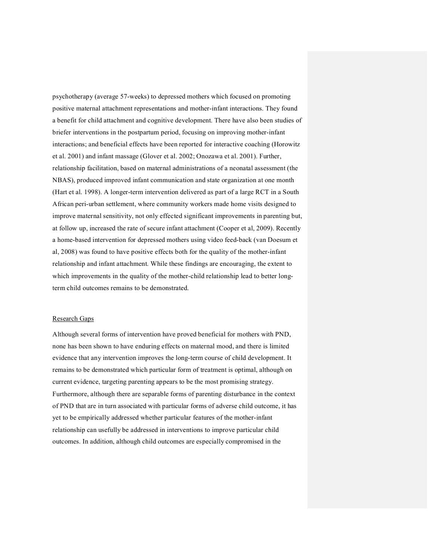psychotherapy (average 57-weeks) to depressed mothers which focused on promoting positive maternal attachment representations and mother-infant interactions. They found a benefit for child attachment and cognitive development. There have also been studies of briefer interventions in the postpartum period, focusing on improving mother-infant interactions; and beneficial effects have been reported for interactive coaching (Horowitz et al. 2001) and infant massage (Glover et al. 2002; Onozawa et al. 2001). Further, relationship facilitation, based on maternal administrations of a neonatal assessment (the NBAS), produced improved infant communication and state organization at one month (Hart et al. 1998). A longer-term intervention delivered as part of a large RCT in a South African peri-urban settlement, where community workers made home visits designed to improve maternal sensitivity, not only effected significant improvements in parenting but, at follow up, increased the rate of secure infant attachment (Cooper et al, 2009). Recently a home-based intervention for depressed mothers using video feed-back (van Doesum et al, 2008) was found to have positive effects both for the quality of the mother-infant relationship and infant attachment. While these findings are encouraging, the extent to which improvements in the quality of the mother-child relationship lead to better longterm child outcomes remains to be demonstrated.

# Research Gaps

Although several forms of intervention have proved beneficial for mothers with PND, none has been shown to have enduring effects on maternal mood, and there is limited evidence that any intervention improves the long-term course of child development. It remains to be demonstrated which particular form of treatment is optimal, although on current evidence, targeting parenting appears to be the most promising strategy. Furthermore, although there are separable forms of parenting disturbance in the context of PND that are in turn associated with particular forms of adverse child outcome, it has yet to be empirically addressed whether particular features of the mother-infant relationship can usefully be addressed in interventions to improve particular child outcomes. In addition, although child outcomes are especially compromised in the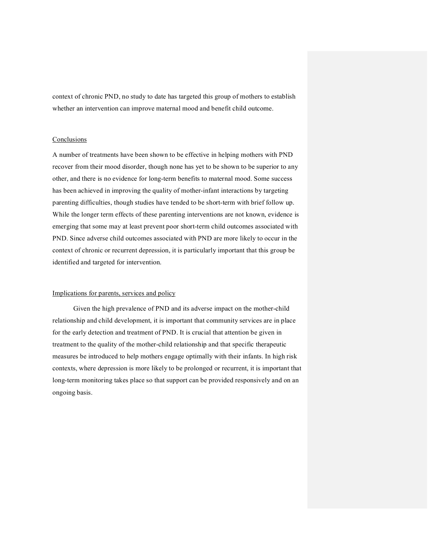context of chronic PND, no study to date has targeted this group of mothers to establish whether an intervention can improve maternal mood and benefit child outcome.

#### **Conclusions**

A number of treatments have been shown to be effective in helping mothers with PND recover from their mood disorder, though none has yet to be shown to be superior to any other, and there is no evidence for long-term benefits to maternal mood. Some success has been achieved in improving the quality of mother-infant interactions by targeting parenting difficulties, though studies have tended to be short-term with brief follow up. While the longer term effects of these parenting interventions are not known, evidence is emerging that some may at least prevent poor short-term child outcomes associated with PND. Since adverse child outcomes associated with PND are more likely to occur in the context of chronic or recurrent depression, it is particularly important that this group be identified and targeted for intervention.

## Implications for parents, services and policy

Given the high prevalence of PND and its adverse impact on the mother-child relationship and child development, it is important that community services are in place for the early detection and treatment of PND. It is crucial that attention be given in treatment to the quality of the mother-child relationship and that specific therapeutic measures be introduced to help mothers engage optimally with their infants. In high risk contexts, where depression is more likely to be prolonged or recurrent, it is important that long-term monitoring takes place so that support can be provided responsively and on an ongoing basis.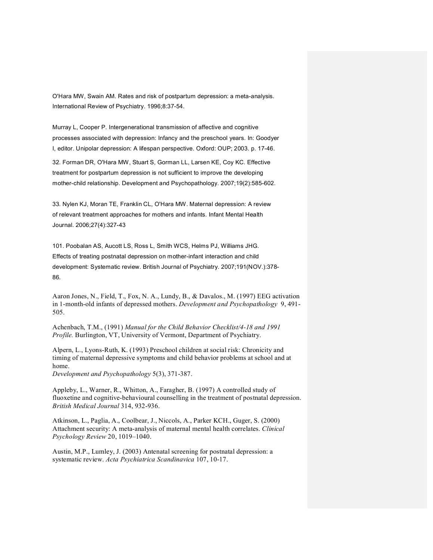O'Hara MW, Swain AM. Rates and risk of postpartum depression: a meta-analysis. International Review of Psychiatry. 1996;8:37-54.

Murray L, Cooper P. Intergenerational transmission of affective and cognitive processes associated with depression: Infancy and the preschool years. In: Goodyer I, editor. Unipolar depression: A lifespan perspective. Oxford: OUP; 2003. p. 1746.

32. Forman DR, O'Hara MW, Stuart S, Gorman LL, Larsen KE, Coy KC. Effective treatment for postpartum depression is not sufficient to improve the developing mother-child relationship. Development and Psychopathology. 2007;19(2):585-602.

33. Nylen KJ, Moran TE, Franklin CL, O'Hara MW. Maternal depression: A review of relevant treatment approaches for mothers and infants. Infant Mental Health Journal. 2006;27(4):32743

101. Poobalan AS, Aucott LS, Ross L, Smith WCS, Helms PJ, Williams JHG. Effects of treating postnatal depression on mother-infant interaction and child development: Systematic review. British Journal of Psychiatry. 2007;191(NOV.):378 86.

Aaron Jones, N., Field, T., Fox, N. A., Lundy, B., & Davalos., M. (1997) EEG activation in 1-month-old infants of depressed mothers. *Development and Psychopathology* 9, 491-505.

Achenbach, T.M., (1991) *Manual for the Child Behavior Checklist/418 and 1991 Profile.* Burlington, VT, University of Vermont, Department of Psychiatry.

Alpern, L., Lyons-Ruth, K. (1993) Preschool children at social risk: Chronicity and timing of maternal depressive symptoms and child behavior problems at school and at home.

*Development and Psychopathology* 5(3), 371-387.

Appleby, L., Warner, R., Whitton, A., Faragher, B. (1997) A controlled study of fluoxetine and cognitive-behavioural counselling in the treatment of postnatal depression. British Medical Journal 314, 932-936.

Atkinson, L., Paglia, A., Coolbear, J., Niccols, A., Parker KCH., Guger, S. (2000) Attachment security: A meta-analysis of maternal mental health correlates. *Clinical Psychology Review* 20, 1019–1040.

Austin, M.P., Lumley, J. (2003) Antenatal screening for postnatal depression: a systematic review. Acta Psychiatrica Scandinavica 107, 10-17.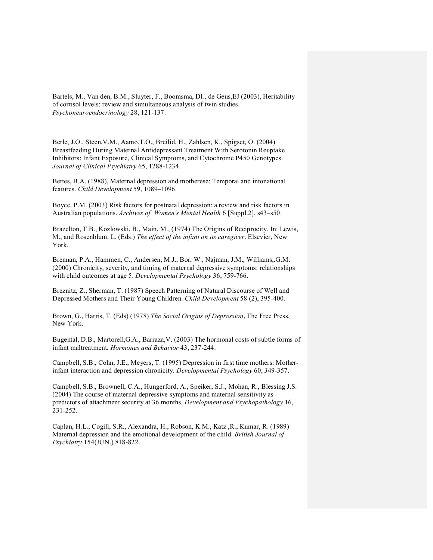Bartels, M., Van den, B.M., Sluyter, F., Boomsma, DI., de Geus,EJ (2003), Heritability of cortisol levels: review and simultaneous analysis of twin studies. *Psychoneuroendocrinology* 28, 121-137.

Berle, J.O., Steen,V.M., Aamo,T.O., Breilid, H., Zahlsen, K., Spigset, O. (2004) Breastfeeding During Maternal Antidepressant Treatment With Serotonin Reuptake Inhibitors: Infant Exposure, Clinical Symptoms, and Cytochrome P450 Genotypes. Journal of Clinical Psychiatry 65, 1288-1234.

Bettes, B.A. (1988), Maternal depression and motherese: Temporal and intonational features. *Child Development* 59, 1089–1096.

Boyce, P.M. (2003) Risk factors for postnatal depression: a review and risk factors in Australian populations. *Archives of Women's Mental Health* 6 [Suppl.2], s43–s50.

Brazelton, T.B., Kozlowski, B., Main, M., (1974) The Origins of Reciprocity. In: Lewis, M., and Rosenblum, L. (Eds.) *The effect of the infant on its caregiver*. Elsevier, New York.

Brennan, P.A., Hammen, C., Andersen, M.J., Bor, W., Najman, J.M., Williams,.G.M. (2000) Chronicity, severity, and timing of maternal depressive symptoms: relationships with child outcomes at age 5. Developmental Psychology 36, 759-766.

Breznitz, Z., Sherman, T. (1987) Speech Patterning of Natural Discourse of Well and Depressed Mothers and Their Young Children. *Child Development* 58 (2), 395-400.

Brown, G., Harris, T. (Eds) (1978) *The Social Origins of Depression*, The Free Press, New York.

Bugental, D.B., Martorell,G.A., Barraza,V. (2003) The hormonal costs of subtle forms of infant maltreatment. *Hormones and Behavior* 43, 237-244.

Campbell, S.B., Cohn, J.E., Meyers, T. (1995) Depression in first time mothers: Motherinfant interaction and depression chronicity. *Developmental Psychology* 60, 349-357.

Campbell, S.B., Brownell, C.A., Hungerford, A., Speiker, S.J., Mohan, R., Blessing J.S. (2004) The course of maternal depressive symptoms and maternal sensitivity as predictors of attachment security at 36 months. *Development and Psychopathology* 16, 231-252.

Caplan, H.L., Cogill, S.R., Alexandra, H., Robson, K.M., Katz ,R., Kumar, R. (1989) Maternal depression and the emotional development of the child. *British Journal of Psychiatry* 154(JUN.) 818-822.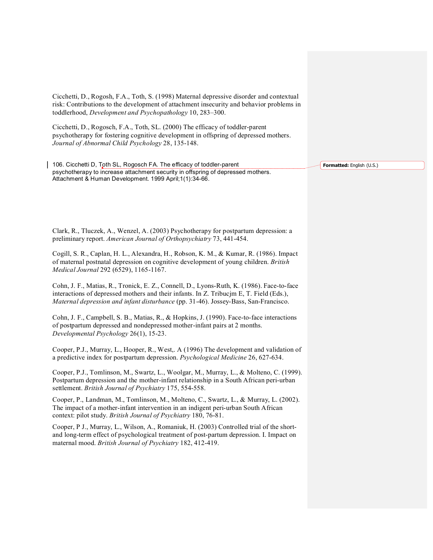Cicchetti, D., Rogosh, F.A., Toth, S. (1998) Maternal depressive disorder and contextual risk: Contributions to the development of attachment insecurity and behavior problems in toddlerhood, *Development and Psychopathology* 10, 283–300.

Cicchetti, D., Rogosch, F.A., Toth, SL. (2000) The efficacy of toddler-parent psychotherapy for fostering cognitive development in offspring of depressed mothers. Journal of Abnormal Child Psychology 28, 135-148.

106. Cicchetti D, Toth SL, Rogosch FA. The efficacy of toddler-parent psychotherapy to increase attachment security in offspring of depressed mothers. Attachment & Human Development. 1999 April;1(1):3466.

Clark, R., Tluczek, A., Wenzel, A. (2003) Psychotherapy for postpartum depression: a preliminary report. American Journal of Orthopsychiatry 73, 441-454.

Cogill, S. R., Caplan, H. L., Alexandra, H., Robson, K. M., & Kumar, R. (1986). Impact of maternal postnatal depression on cognitive development of young children. *British Medical Journal* 292 (6529), 1165-1167.

Cohn, J. F., Matias, R., Tronick, E. Z., Connell, D., Lyons-Ruth, K. (1986). Face-to-face interactions of depressed mothers and their infants. In Z. Tribucjm E, T. Field (Eds.), *Maternal depression and infant disturbance* (pp. 31-46). Jossey-Bass, San-Francisco.

Cohn, J. F., Campbell, S. B., Matias, R., & Hopkins, J. (1990). Face-to-face interactions of postpartum depressed and nondepressed mother-infant pairs at 2 months. *Developmental Psychology* 26(1), 15-23.

Cooper, P.J., Murray, L., Hooper, R., West,. A (1996) The development and validation of a predictive index for postpartum depression. *Psychological Medicine* 26, 627-634.

Cooper, P.J., Tomlinson, M., Swartz, L., Woolgar, M., Murray, L., & Molteno, C. (1999). Postpartum depression and the mother-infant relationship in a South African peri-urban settlement. *British Journal of Psychiatry* 175, 554-558.

Cooper, P., Landman, M., Tomlinson, M., Molteno, C., Swartz, L., & Murray, L. (2002). The impact of a mother-infant intervention in an indigent peri-urban South African context: pilot study. *British Journal of Psychiatry* 180, 76-81.

Cooper, P J., Murray, L., Wilson, A., Romaniuk, H. (2003) Controlled trial of the shortand long-term effect of psychological treatment of post-partum depression. I. Impact on maternal mood. British Journal of Psychiatry 182, 412-419.

**Formatted:** English (U.S.)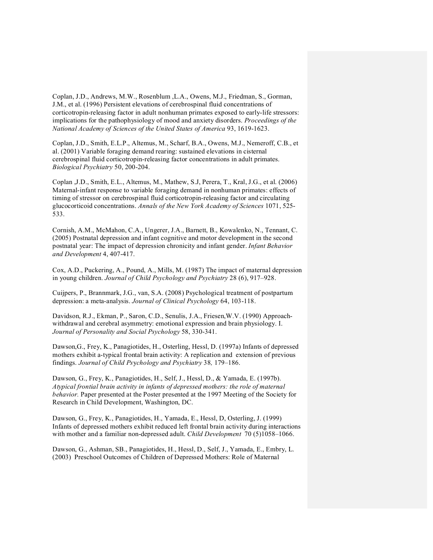Coplan, J.D., Andrews, M.W., Rosenblum ,L.A., Owens, M.J., Friedman, S., Gorman, J.M., et al. (1996) Persistent elevations of cerebrospinal fluid concentrations of corticotropin-releasing factor in adult nonhuman primates exposed to early-life stressors: implications for the pathophysiology of mood and anxiety disorders. *Proceedings of the National Academy of Sciences of the United States of America* 93, 1619-1623.

Coplan, J.D., Smith, E.L.P., Altemus, M., Scharf, B.A., Owens, M.J., Nemeroff, C.B., et al. (2001) Variable foraging demand rearing: sustained elevations in cisternal cerebrospinal fluid corticotropin-releasing factor concentrations in adult primates. *Biological Psychiatry* 50, 200-204.

Coplan ,J.D., Smith, E.L., Altemus, M., Mathew, S.J, Perera, T., Kral, J.G., et al. (2006) Maternal-infant response to variable foraging demand in nonhuman primates: effects of timing of stressor on cerebrospinal fluid corticotropin-releasing factor and circulating glucocorticoid concentrations. *Annals of the New York Academy of Sciences* 1071, 525 533.

Cornish, A.M., McMahon, C.A., Ungerer, J.A., Barnett, B., Kowalenko, N., Tennant, C. (2005) Postnatal depression and infant cognitive and motor development in the second postnatal year: The impact of depression chronicity and infant gender. *Infant Behavior* and Development 4, 407-417.

Cox, A.D., Puckering, A., Pound, A., Mills, M. (1987) The impact of maternal depression in young children. *Journal of Child Psychology and Psychiatry* 28 (6), 917–928.

Cuijpers, P., Brannmark, J.G., van, S.A. (2008) Psychological treatment of postpartum depression: a meta-analysis. *Journal of Clinical Psychology* 64, 103-118.

Davidson, R.J., Ekman, P., Saron, C.D., Senulis, J.A., Friesen,W.V. (1990) Approach withdrawal and cerebral asymmetry: emotional expression and brain physiology. I. *Journal of Personality and Social Psychology* 58, 330-341.

Dawson,G., Frey, K., Panagiotides, H., Osterling, Hessl, D. (1997a) Infants of depressed mothers exhibit a-typical frontal brain activity: A replication and extension of previous findings. *Journal of Child Ps*y*chology and Psychiatry* 38*,* 179–186.

Dawson, G., Frey, K., Panagiotides, H., Self, J., Hessl, D., & Yamada, E. (1997b). *Atypical frontial brain activity in infants of depressed mothers: the role of maternal behavior.* Paper presented at the Poster presented at the 1997 Meeting of the Society for Research in Child Development, Washington, DC.

Dawson, G., Frey, K., Panagiotides, H., Yamada, E., Hessl, D, Osterling, J. (1999) Infants of depressed mothers exhibit reduced left frontal brain activity during interactions with mother and a familiar non-depressed adult. *Child Development* 70 (5)1058-1066.

Dawson, G., Ashman, SB., Panagiotides, H., Hessl, D., Self, J., Yamada, E., Embry, L. (2003) Preschool Outcomes of Children of Depressed Mothers: Role of Maternal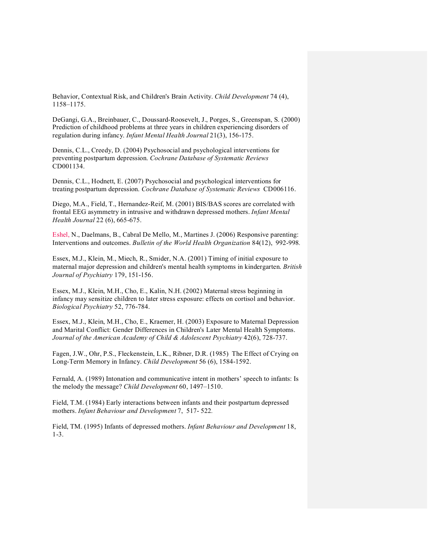Behavior, Contextual Risk, and Children's Brain Activity. *Child Development* 74 (4), 1158–1175.

DeGangi, G.A., Breinbauer, C., Doussard-Roosevelt, J., Porges, S., Greenspan, S. (2000) Prediction of childhood problems at three years in children experiencing disorders of regulation during infancy. *Infant Mental Health Journal* 21(3), 156-175.

Dennis, C.L., Creedy, D. (2004) Psychosocial and psychological interventions for preventing postpartum depression. *Cochrane Database of Systematic Reviews* CD001134.

Dennis, C.L., Hodnett, E. (2007) Psychosocial and psychological interventions for treating postpartum depression. *Cochrane Database of Systematic Reviews* CD006116.

Diego, M.A., Field, T., Hernandez-Reif, M. (2001) BIS/BAS scores are correlated with frontal EEG asymmetry in intrusive and withdrawn depressed mothers. *Infant Mental Health Journal* 22 (6), 665-675.

Eshel, N., Daelmans, B., Cabral De Mello, M., Martines J. (2006) Responsive parenting: Interventions and outcomes. *Bulletin of the World Health Organization* 84(12), 992-998.

Essex, M.J., Klein, M., Miech, R., Smider, N.A. (2001) Timing of initial exposure to maternal major depression and children's mental health symptoms in kindergarten. *British Journal of Psychiatry* 179, 151-156.

Essex, M.J., Klein, M.H., Cho, E., Kalin, N.H. (2002) Maternal stress beginning in infancy may sensitize children to later stress exposure: effects on cortisol and behavior. *Biological Psychiatry* 52, 776-784.

Essex, M.J., Klein, M.H., Cho, E., Kraemer, H. (2003) Exposure to Maternal Depression and Marital Conflict: Gender Differences in Children's Later Mental Health Symptoms. *Journal of the American Academy of Child & Adolescent Psychiatry* 42(6), 728-737.

Fagen, J.W., Ohr, P.S., Fleckenstein, L.K., Ribner, D.R. (1985) The Effect of Crying on Long-Term Memory in Infancy. *Child Development* 56 (6), 1584-1592.

Fernald, A. (1989) Intonation and communicative intent in mothers' speech to infants: Is the melody the message? *Child Development* 60, 1497–1510.

Field, T.M. (1984) Early interactions between infants and their postpartum depressed mothers. *Infant Behaviour and Development* 7, 517-522.

Field, TM. (1995) Infants of depressed mothers. *Infant Behaviour and Development* 18, 13.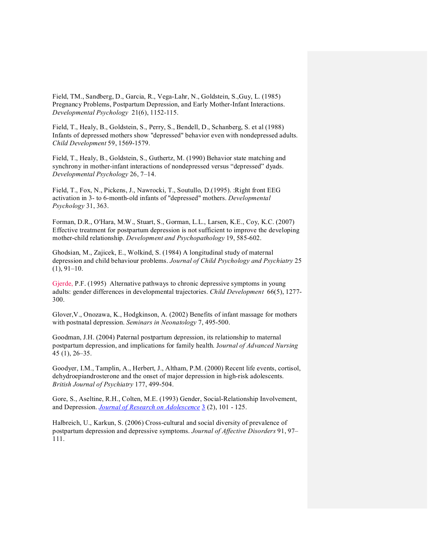Field, TM., Sandberg, D., Garcia, R., Vega-Lahr, N., Goldstein, S., Guy, L. (1985) Pregnancy Problems, Postpartum Depression, and Early Mother-Infant Interactions. *Developmental Psychology* 21(6), 1152-115.

Field, T., Healy, B., Goldstein, S., Perry, S., Bendell, D., Schanberg, S. et al (1988) Infants of depressed mothers show "depressed" behavior even with nondepressed adults. *Child Development* 59, 1569-1579.

Field, T., Healy, B., Goldstein, S., Guthertz, M. (1990) Behavior state matching and synchrony in mother-infant interactions of nondepressed versus "depressed" dyads. *Developmental Psychology* 26, 7–14.

Field, T., Fox, N., Pickens, J., Nawrocki, T., Soutullo, D.(1995). :Right front EEG activation in 3- to 6-month-old infants of "depressed" mothers. *Developmental Psychology* 31, 363.

Forman, D.R., O'Hara, M.W., Stuart, S., Gorman, L.L., Larsen, K.E., Coy, K.C. (2007) Effective treatment for postpartum depression is not sufficient to improve the developing mother-child relationship. *Development and Psychopathology* 19, 585-602.

Ghodsian, M., Zajicek, E., Wolkind, S. (1984) A longitudinal study of maternal depression and child behaviour problems. *Journal of Child Psychology and Psychiatry* 25  $(1), 91-10.$ 

Gjerde, P.F. (1995) Alternative pathways to chronic depressive symptoms in young adults: gender differences in developmental trajectories. *Child Development* 66(5), 1277 300.

Glover,V., Onozawa, K., Hodgkinson, A. (2002) Benefits of infant massage for mothers with postnatal depression. Seminars in Neonatology 7, 495-500.

Goodman, J.H. (2004) Paternal postpartum depression, its relationship to maternal postpartum depression, and implications for family health. J*ournal of Advanced Nursing* 45 (1), 26–35.

Goodyer, I.M., Tamplin, A., Herbert, J., Altham, P.M. (2000) Recent life events, cortisol, dehydroepiandrosterone and the onset of major depression in high-risk adolescents. *British Journal of Psychiatry* 177, 499-504.

Gore, S., Aseltine, R.H., Colten, M.E. (1993) Gender, Social-Relationship Involvement, and Depression. *Journal of Research on Adolescence* 3 (2), 101 125.

Halbreich, U., Karkun, S. (2006) Cross-cultural and social diversity of prevalence of postpartum depression and depressive symptoms. *Journal of Affective Disorders* 91, 97– 111.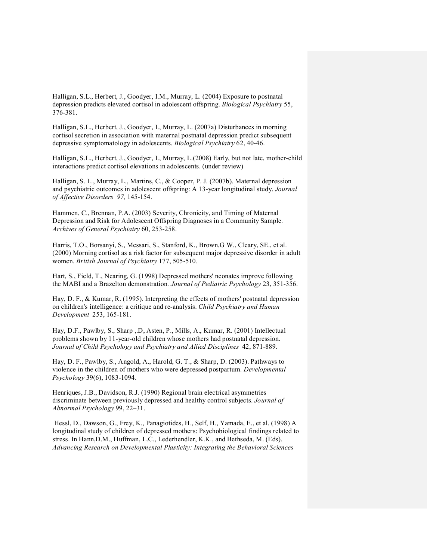Halligan, S.L., Herbert, J., Goodyer, I.M., Murray, L. (2004) Exposure to postnatal depression predicts elevated cortisol in adolescent offspring. *Biological Psychiatry* 55, 376381.

Halligan, S.L., Herbert, J., Goodyer, I., Murray, L. (2007a) Disturbances in morning cortisol secretion in association with maternal postnatal depression predict subsequent depressive symptomatology in adolescents. *Biological Psychiatry* 62, 4046.

Halligan, S.L., Herbert, J., Goodyer, I., Murray, L.(2008) Early, but not late, mother-child interactions predict cortisol elevations in adolescents. (under review)

Halligan, S. L., Murray, L., Martins, C., & Cooper, P. J. (2007b). Maternal depression and psychiatric outcomes in adolescent offspring: A 13-year longitudinal study. Journal *of Affective Disorders* 97, 145-154.

Hammen, C., Brennan, P.A. (2003) Severity, Chronicity, and Timing of Maternal Depression and Risk for Adolescent Offspring Diagnoses in a Community Sample. Archives of *General Psychiatry* 60, 253-258.

Harris, T.O., Borsanyi, S., Messari, S., Stanford, K., Brown,G W., Cleary, SE., et al. (2000) Morning cortisol as a risk factor for subsequent major depressive disorder in adult women. *British Journal of Psychiatry* 177, 505-510.

Hart, S., Field, T., Nearing, G. (1998) Depressed mothers' neonates improve following the MABI and a Brazelton demonstration. *Journal of Pediatric Psychology* 23, 351-356.

Hay, D. F., & Kumar, R. (1995). Interpreting the effects of mothers' postnatal depression on children's intelligence: a critique and re-analysis. *Child Psychiatry and Human Development* 253, 165-181.

Hay, D.F., Pawlby, S., Sharp , D, Asten, P., Mills, A., Kumar, R. (2001) Intellectual problems shown by 11-year-old children whose mothers had postnatal depression. *Journal of Child Psychology and Psychiatry and Allied Disciplines* 42, 871-889.

Hay, D. F., Pawlby, S., Angold, A., Harold, G. T., & Sharp, D. (2003). Pathways to violence in the children of mothers who were depressed postpartum. *Developmental*  Psychology 39(6), 1083-1094.

Henriques, J.B., Davidson, R.J. (1990) Regional brain electrical asymmetries discriminate between previously depressed and healthy control subjects. *Journal of Abnormal Psychology* 99, 22–31.

Hessl, D., Dawson, G., Frey, K., Panagiotides, H., Self, H., Yamada, E., et al. (1998) A longitudinal study of children of depressed mothers: Psychobiological findings related to stress. In Hann,D.M., Huffman, L.C., Lederhendler, K.K., and Bethseda, M. (Eds). *Advancing Research on Developmental Plasticity: Integrating the Behavioral Sciences*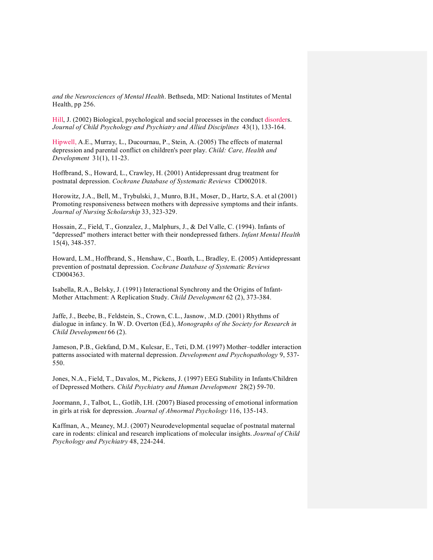*and the Neurosciences of Mental Health*. Bethseda, MD: National Institutes of Mental Health, pp 256.

Hill, J. (2002) Biological, psychological and social processes in the conduct disorders. *Journal of Child Psychology and Psychiatry and Allied Disciplines* 43(1), 133164.

Hipwell, A.E., Murray, L., Ducournau, P., Stein, A. (2005) The effects of maternal depression and parental conflict on children's peer play. *Child: Care, Health and Development* 31(1), 11-23.

Hoffbrand, S., Howard, L., Crawley, H. (2001) Antidepressant drug treatment for postnatal depression. *Cochrane Database of Systematic Reviews* CD002018.

Horowitz, J.A., Bell, M., Trybulski, J., Munro, B.H., Moser, D., Hartz, S.A. et al (2001) Promoting responsiveness between mothers with depressive symptoms and their infants. *Journal of Nursing Scholarship* 33, 323-329.

Hossain, Z., Field, T., Gonzalez, J., Malphurs, J., & Del Valle, C. (1994). Infants of "depressed" mothers interact better with their nondepressed fathers. *Infant Mental Health* 15(4), 348-357.

Howard, L.M., Hoffbrand, S., Henshaw, C., Boath, L., Bradley, E. (2005) Antidepressant prevention of postnatal depression. *Cochrane Database of Systematic Reviews* CD004363.

Isabella, R.A., Belsky, J. (1991) Interactional Synchrony and the Origins of Infant Mother Attachment: A Replication Study. *Child Development* 62 (2), 373-384.

Jaffe, J., Beebe, B., Feldstein, S., Crown, C.L., Jasnow, .M.D. (2001) Rhythms of dialogue in infancy. In W. D. Overton (Ed.), *Monographs of the Society for Research in Child Development* 66 (2).

Jameson, P.B., Gekfand, D.M., Kulcsar, E., Teti, D.M. (1997) Mother–toddler interaction patterns associated with maternal depression. *Development and Psychopathology* 9, 537 550.

Jones, N.A., Field, T., Davalos, M., Pickens, J. (1997) EEG Stability in Infants/Children of Depressed Mothers. *Child Psychiatry and Human Development* 28(2) 59-70.

Joormann, J., Talbot, L., Gotlib, I.H. (2007) Biased processing of emotional information in girls at risk for depression. *Journal of Abnormal Psychology* 116, 135-143.

Kaffman, A., Meaney, M.J. (2007) Neurodevelopmental sequelae of postnatal maternal care in rodents: clinical and research implications of molecular insights. *Journal of Child Psychology and Psychiatry* 48, 224-244.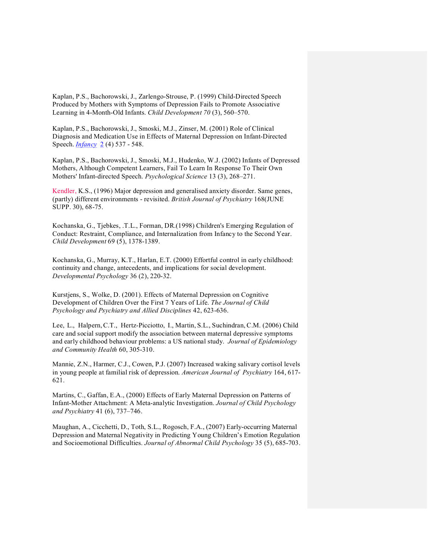Kaplan, P.S., Bachorowski, J., Zarlengo-Strouse, P. (1999) Child-Directed Speech Produced by Mothers with Symptoms of Depression Fails to Promote Associative Learning in 4-Month-Old Infants. *Child Development 70* (3), 560–570.

Kaplan, P.S., Bachorowski, J., Smoski, M.J., Zinser, M. (2001) Role of Clinical Diagnosis and Medication Use in Effects of Maternal Depression on Infant-Directed Speech. *Infancy* 2 (4) 537 - 548.

Kaplan, P.S., Bachorowski, J., Smoski, M.J., Hudenko, W.J. (2002) Infants of Depressed Mothers, Although Competent Learners, Fail To Learn In Response To Their Own Mothers' Infant-directed Speech. *Psychological Science* 13 (3), 268–271.

Kendler, K.S., (1996) Major depression and generalised anxiety disorder. Same genes, (partly) different environments revisited. *British Journal of Psychiatry* 168(JUNE SUPP. 30), 68-75.

Kochanska, G., Tjebkes, .T.L., Forman, DR.(1998) Children's Emerging Regulation of Conduct: Restraint, Compliance, and Internalization from Infancy to the Second Year. *Child Development* 69 (5), 1378-1389.

Kochanska, G., Murray, K.T., Harlan, E.T. (2000) Effortful control in early childhood: continuity and change, antecedents, and implications for social development. *Developmental Psychology* 36 (2), 220-32.

Kurstjens, S., Wolke, D. (2001). Effects of Maternal Depression on Cognitive Development of Children Over the First 7 Years of Life. *The Journal of Child Psychology and Psychiatry and Allied Disciplines* 42, 623-636.

Lee, L., Halpern, C.T., Hertz-Picciotto, I., Martin, S.L., Suchindran, C.M. (2006) Child care and social support modify the association between maternal depressive symptoms and early childhood behaviour problems: a US national study. *Journal of Epidemiology*  and Community Health 60, 305-310.

Mannie, Z.N., Harmer, C.J., Cowen, P.J. (2007) Increased waking salivary cortisol levels in young people at familial risk of depression. *American Journal of Psychiatry* 164, 617 621.

Martins, C., Gaffan, E.A., (2000) Effects of Early Maternal Depression on Patterns of Infant-Mother Attachment: A Meta-analytic Investigation. *Journal of Child Psychology and Psychiatry* 41 (6), 737–746.

Maughan, A., Cicchetti, D., Toth, S.L., Rogosch, F.A., (2007) Early-occurring Maternal Depression and Maternal Negativity in Predicting Young Children's Emotion Regulation and Socioemotional Difficulties. *Journal of Abnormal Child Psychology* 35 (5), 685-703.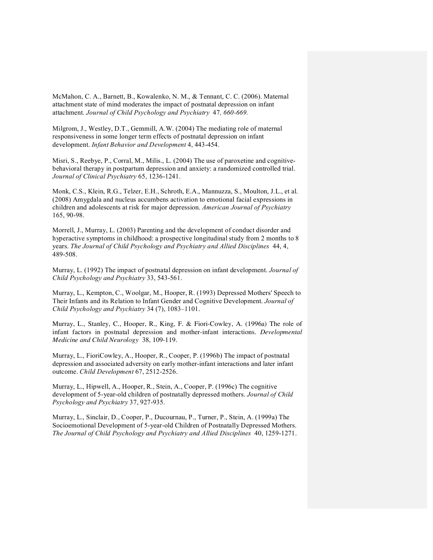McMahon, C. A., Barnett, B., Kowalenko, N. M., & Tennant, C. C. (2006). Maternal attachment state of mind moderates the impact of postnatal depression on infant attachment. *Journal of Child Psychology and Psychiatry* 47, 660-669.

Milgrom, J., Westley, D.T., Gemmill, A.W. (2004) The mediating role of maternal responsiveness in some longer term effects of postnatal depression on infant development. *Infant Behavior and Development* 4, 443-454.

Misri, S., Reebye, P., Corral, M., Milis., L. (2004) The use of paroxetine and cognitivebehavioral therapy in postpartum depression and anxiety: a randomized controlled trial. *Journal of Clinical Psychiatry* 65, 1236-1241.

Monk, C.S., Klein, R.G., Telzer, E.H., Schroth, E.A., Mannuzza, S., Moulton, J.L., et al. (2008) Amygdala and nucleus accumbens activation to emotional facial expressions in children and adolescents at risk for major depression. *American Journal of Psychiatry* 165, 90-98.

Morrell, J., Murray, L. (2003) Parenting and the development of conduct disorder and hyperactive symptoms in childhood: a prospective longitudinal study from 2 months to 8 years. *The Journal of Child Psychology and Psychiatry and Allied Disciplines* 44, 4, 489508.

Murray, L. (1992) The impact of postnatal depression on infant development. *Journal of Child Psychology and Psychiatry* 33, 543-561.

Murray, L., Kempton, C., Woolgar, M., Hooper, R. (1993) Depressed Mothers' Speech to Their Infants and its Relation to Infant Gender and Cognitive Development. *Journal of Child Psychology and Psychiatry* 34 (7), 1083–1101.

Murray, L., Stanley, C., Hooper, R., King, F. & Fiori-Cowley, A. (1996a) The role of infant factors in postnatal depression and mother-infant interactions. *Developmental Medicine and Child Neurology* 38, 109-119.

Murray, L., FioriCowley, A., Hooper, R., Cooper, P. (1996b) The impact of postnatal depression and associated adversity on early motherinfant interactions and later infant outcome. *Child Development* 67, 2512-2526.

Murray, L., Hipwell, A., Hooper, R., Stein, A., Cooper, P. (1996c) The cognitive development of 5-year-old children of postnatally depressed mothers. *Journal of Child Psychology and Psychiatry* 37, 927-935.

Murray, L., Sinclair, D., Cooper, P., Ducournau, P., Turner, P., Stein, A. (1999a) The Socioemotional Development of 5-year-old Children of Postnatally Depressed Mothers. *The Journal of Child Psychology and Psychiatry and Allied Disciplines* 40, 1259-1271.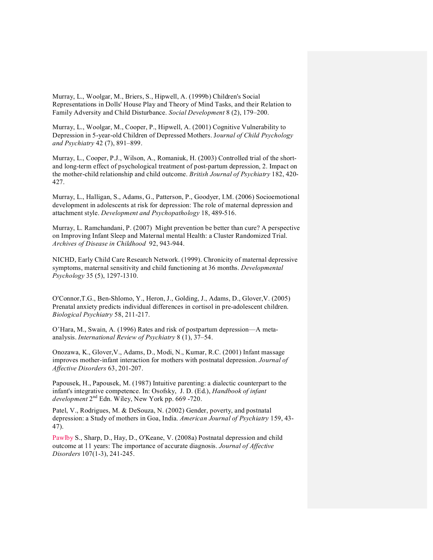Murray, L., Woolgar, M., Briers, S., Hipwell, A. (1999b) Children's Social Representations in Dolls' House Play and Theory of Mind Tasks, and their Relation to Family Adversity and Child Disturbance. *Social Development* 8 (2), 179–200.

Murray, L., Woolgar, M., Cooper, P., Hipwell, A. (2001) Cognitive Vulnerability to Depression in 5-year-old Children of Depressed Mothers. Journal of Child Psychology *and Psychiatry* 42 (7), 891–899.

Murray, L., Cooper, P.J., Wilson, A., Romaniuk, H. (2003) Controlled trial of the shortand long-term effect of psychological treatment of post-partum depression, 2. Impact on the mother-child relationship and child outcome. *British Journal of Psychiatry* 182, 420-427.

Murray, L., Halligan, S., Adams, G., Patterson, P., Goodyer, I.M. (2006) Socioemotional development in adolescents at risk for depression: The role of maternal depression and attachment style. *Development and Psychopathology* 18, 489-516.

Murray, L. Ramchandani, P. (2007) Might prevention be better than cure? A perspective on Improving Infant Sleep and Maternal mental Health: a Cluster Randomized Trial. Archives of Disease in Childhood 92, 943-944.

NICHD, Early Child Care Research Network. (1999). Chronicity of maternal depressive symptoms, maternal sensitivity and child functioning at 36 months. *Developmental Psychology* 35 (5), 1297-1310.

O'Connor,T.G., BenShlomo, Y., Heron, J., Golding, J., Adams, D., Glover,V. (2005) Prenatal anxiety predicts individual differences in cortisol in pre-adolescent children. *Biological Psychiatry* 58, 211-217.

O'Hara, M., Swain, A. (1996) Rates and risk of postpartum depression—A meta analysis. *International Review of Psychiatry* 8 (1), 37–54.

Onozawa, K., Glover,V., Adams, D., Modi, N., Kumar, R.C. (2001) Infant massage improves motherinfant interaction for mothers with postnatal depression. *Journal of Affective Disorders* 63, 201-207.

Papousek, H., Papousek, M. (1987) Intuitive parenting: a dialectic counterpart to the infant's integrative competence. In: Osofsky, J. D. (Ed.), *Handbook of infant development*  $2<sup>nd</sup>$  Edn. Wiley, New York pp. 669 -720.

Patel, V., Rodrigues, M. & DeSouza, N. (2002) Gender, poverty, and postnatal depression: a Study of mothers in Goa, India. *American Journal of Psychiatry* 159, 43 47).

Pawlby S., Sharp, D., Hay, D., O'Keane, V. (2008a) Postnatal depression and child outcome at 11 years: The importance of accurate diagnosis. *Journal of Affective Disorders* 107(1-3), 241-245.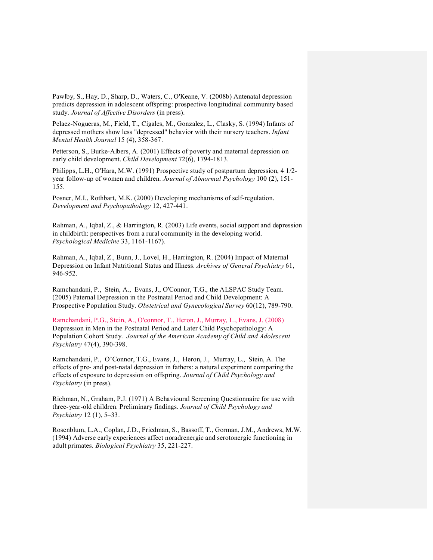Pawlby, S., Hay, D., Sharp, D., Waters, C., O'Keane, V. (2008b) Antenatal depression predicts depression in adolescent offspring: prospective longitudinal community based study. *Journal of Affective Disorders* (in press).

Pelaez-Nogueras, M., Field, T., Cigales, M., Gonzalez, L., Clasky, S. (1994) Infants of depressed mothers show less "depressed" behavior with their nursery teachers. *Infant Mental Health Journal* 15 (4), 358-367.

Petterson, S., Burke-Albers, A. (2001) Effects of poverty and maternal depression on early child development. *Child Development* 72(6), 1794-1813.

Philipps, L.H., O'Hara, M.W. (1991) Prospective study of postpartum depression, 4 1/2 year follow-up of women and children. *Journal of Abnormal Psychology* 100 (2), 151-155.

Posner, M.I., Rothbart, M.K. (2000) Developing mechanisms of self-regulation. Development and Psychopathology 12, 427-441.

Rahman, A., Iqbal, Z., & Harrington, R. (2003) Life events, social support and depression in childbirth: perspectives from a rural community in the developing world. *Psychological Medicine* 33, 1161-1167).

Rahman, A., Iqbal, Z., Bunn, J., Lovel, H., Harrington, R. (2004) Impact of Maternal Depression on Infant Nutritional Status and Illness. *Archives of General Psychiatry* 61, 946-952.

Ramchandani, P., Stein, A., Evans, J., O'Connor, T.G., the ALSPAC Study Team. (2005) Paternal Depression in the Postnatal Period and Child Development: A Prospective Population Study. *Obstetrical and Gynecological Survey* 60(12), 789-790.

Ramchandani, P.G., Stein, A., O'connor, T., Heron, J., Murray, L., Evans, J. (2008) Depression in Men in the Postnatal Period and Later Child Psychopathology: A Population Cohort Study. *Journal of the American Academy of Child and Adolescent Psychiatry* 47(4), 390-398.

Ramchandani, P., O'Connor, T.G., Evans, J., Heron, J., Murray, L., Stein, A. The effects of pre- and post-natal depression in fathers: a natural experiment comparing the effects of exposure to depression on offspring. *Journal of Child Psychology and Psychiatry* (in press).

Richman, N., Graham, P.J. (1971) A Behavioural Screening Questionnaire for use with three-year-old children. Preliminary findings. *Journal of Child Psychology and Psychiatry* 12 (1), 5–33.

Rosenblum, L.A., Coplan, J.D., Friedman, S., Bassoff, T., Gorman, J.M., Andrews, M.W. (1994) Adverse early experiences affect noradrenergic and serotonergic functioning in adult primates. *Biological Psychiatry* 35, 221-227.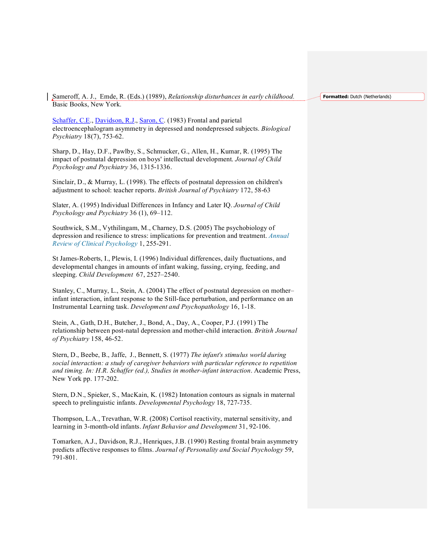Sameroff, A. J., Emde, R. (Eds.) (1989), *Relationship disturbances in early childhood.* Basic Books, New York.

**Formatted:** Dutch (Netherlands)

Schaffer, C.E., Davidson, R.J., Saron, C. (1983) Frontal and parietal electroencephalogram asymmetry in depressed and nondepressed subjects. *Biological Psychiatry* 18(7), 753-62.

Sharp, D., Hay, D.F., Pawlby, S., Schmucker, G., Allen, H., Kumar, R. (1995) The impact of postnatal depression on boys' intellectual development. *Journal of Child Psychology and Psychiatry* 36, 1315-1336.

Sinclair, D., & Murray, L. (1998). The effects of postnatal depression on children's adjustment to school: teacher reports. *British Journal of Psychiatry* 172, 58-63

Slater, A. (1995) Individual Differences in Infancy and Later IQ. *Journal of Child Psychology and Psychiatry* 36 (1), 69–112.

Southwick, S.M., Vythilingam, M., Charney, D.S. (2005) The psychobiology of depression and resilience to stress: implications for prevention and treatment. *Annual Review of Clinical Psychology* 1, 255-291.

St James-Roberts, I., Plewis, I. (1996) Individual differences, daily fluctuations, and developmental changes in amounts of infant waking, fussing, crying, feeding, and sleeping. *Child Development* 67, 2527–2540.

Stanley, C., Murray, L., Stein, A. (2004) The effect of postnatal depression on mother– infant interaction, infant response to the Still-face perturbation, and performance on an Instrumental Learning task. Development and Psychopathology 16, 1-18.

Stein, A., Gath, D.H., Butcher, J., Bond, A., Day, A., Cooper, P.J. (1991) The relationship between post-natal depression and mother-child interaction. *British Journal of Psychiatry* 158, 46-52.

Stern, D., Beebe, B., Jaffe, J., Bennett, S. (1977) *The infant's stimulus world during social interaction: a study of caregiver behaviors with particular reference to repetition and timing. In: H.R. Schaffer (ed.), Studies in motherinfant interaction*. Academic Press, New York pp. 177-202.

Stern, D.N., Spieker, S., MacKain, K. (1982) Intonation contours as signals in maternal speech to prelinguistic infants. *Developmental Psychology* 18, 727-735.

Thompson, L.A., Trevathan, W.R. (2008) Cortisol reactivity, maternal sensitivity, and learning in 3-month-old infants. *Infant Behavior and Development* 31, 92-106.

Tomarken, A.J., Davidson, R.J., Henriques, J.B. (1990) Resting frontal brain asymmetry predicts affective responses to films. *Journal of Personality and Social Psychology* 59, 791-801.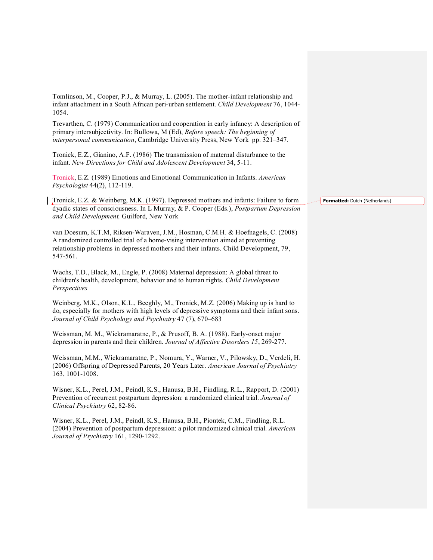Tomlinson, M., Cooper, P.J., & Murray, L. (2005). The mother-infant relationship and infant attachment in a South African peri-urban settlement. *Child Development* 76, 1044-1054.

Trevarthen, C. (1979) Communication and cooperation in early infancy: A description of primary intersubjectivity. In: Bullowa, M (Ed), *Before speech: The beginning of interpersonal communication*, Cambridge University Press, New York pp. 321–347.

Tronick, E.Z., Gianino, A.F. (1986) The transmission of maternal disturbance to the infant. New Directions for Child and Adolescent Development 34, 5-11.

Tronick, E.Z. (1989) Emotions and Emotional Communication in Infants. *American Psychologist* 44(2), 112-119.

Tronick, E.Z. & Weinberg, M.K. (1997). Depressed mothers and infants: Failure to form dyadic states of consciousness. In L Murray, & P. Cooper (Eds.), *Postpartum Depression and Child Development,* Guilford, New York

van Doesum, K.T.M, Riksen-Waraven, J.M., Hosman, C.M.H. & Hoefnagels, C. (2008) A randomized controlled trial of a home-vising intervention aimed at preventing relationship problems in depressed mothers and their infants. Child Development, 79, 547-561.

Wachs, T.D., Black, M., Engle, P. (2008) Maternal depression: A global threat to children's health, development, behavior and to human rights. *Child Development Perspectives*

Weinberg, M.K., Olson, K.L., Beeghly, M., Tronick, M.Z. (2006) Making up is hard to do, especially for mothers with high levels of depressive symptoms and their infant sons. *Journal of Child Psychology and Psychiatry* 47 (7), 670–683

Weissman, M. M., Wickramaratne, P., & Prusoff, B. A. (1988). Early-onset major depression in parents and their children. Journal of Affective Disorders 15, 269-277.

Weissman, M.M., Wickramaratne, P., Nomura, Y., Warner, V., Pilowsky, D., Verdeli, H. (2006) Offspring of Depressed Parents, 20 Years Later. *American Journal of Psychiatry* 163, 1001-1008.

Wisner, K.L., Perel, J.M., Peindl, K.S., Hanusa, B.H., Findling, R.L., Rapport, D. (2001) Prevention of recurrent postpartum depression: a randomized clinical trial. *Journal of Clinical Psychiatry* 62, 82-86.

Wisner, K.L., Perel, J.M., Peindl, K.S., Hanusa, B.H., Piontek, C.M., Findling, R.L. (2004) Prevention of postpartum depression: a pilot randomized clinical trial. *American Journal of Psychiatry* 161, 1290-1292.

#### **Formatted:** Dutch (Netherlands)